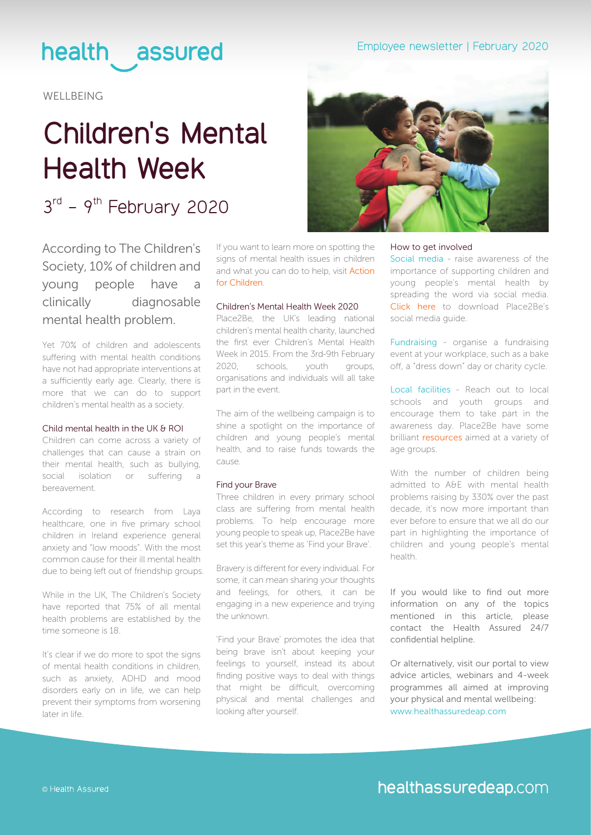## health assured

**WELLBEING** 

# **Children's Mental Health Week**

 $3<sup>rd</sup> - 9<sup>th</sup>$  February 2020

According to The Children's Society, 10% of children and young people have a clinically diagnosable mental health problem.

Yet 70% of children and adolescents suffering with mental health conditions have not had appropriate interventions at a sufficiently early age. Clearly, there is more that we can do to support children's mental health as a society.

#### Child mental health in the UK & ROI

Children can come across a variety of challenges that can cause a strain on their mental health, such as bullying, social isolation or suffering a bereavement.

According to research from Laya healthcare, one in five primary school children in Ireland experience general anxiety and "low moods". With the most common cause for their ill mental health due to being left out of friendship groups.

While in the UK, The Children's Society have reported that 75% of all mental health problems are established by the time someone is 18.

It's clear if we do more to spot the signs of mental health conditions in children, such as anxiety, ADHD and mood disorders early on in life, we can help prevent their symptoms from worsening later in life.

If you want to learn more on spotting the signs of mental health issues in children and what you can do to help, visit [Action](https://www.actionforchildren.org.uk/) [for Children](https://www.actionforchildren.org.uk/).

### Children's Mental Health Week 2020

Place2Be, the UK's leading national children's mental health charity, launched the first ever Children's Mental Health Week in 2015. From the 3rd-9th February 2020, schools, youth groups, organisations and individuals will all take part in the event.

The aim of the wellbeing campaign is to shine a spotlight on the importance of children and young people's mental health, and to raise funds towards the cause.

#### Find your Brave

Three children in every primary school class are suffering from mental health problems. To help encourage more young people to speak up, Place2Be have set this year's theme as 'Find your Brave'.

Bravery is different for every individual. For some, it can mean sharing your thoughts and feelings, for others, it can be engaging in a new experience and trying the unknown.

'Find your Brave' promotes the idea that being brave isn't about keeping your feelings to yourself, instead its about finding positive ways to deal with things that might be difficult, overcoming physical and mental challenges and looking after yourself.





#### How to get involved

Social media - raise awareness of the importance of supporting children and young people's mental health by spreading the word via social media. [Click here](https://562edcf5b67b66a14900-eeaef90731f7ce1cd156ac7b02c7dd8f.ssl.cf3.rackcdn.com/Social%20Media%20Guide.pdf) to download Place2Be's social media guide.

Fundraising - organise a fundraising event at your workplace, such as a bake off, a "dress down" day or charity cycle.

Local facilities - Reach out to local schools and youth groups and encourage them to take part in the awareness day. Place2Be have some brilliant [resources](https://www.childrensmentalhealthweek.org.uk/schools-and-youth-groups/) aimed at a variety of age groups.

With the number of children being admitted to A&E with mental health problems raising by 330% over the past decade, it's now more important than ever before to ensure that we all do our part in highlighting the importance of children and young people's mental health.

If you would like to find out more information on any of the topics mentioned in this article, please contact the Health Assured 24/7 confidential helpline.

Or alternatively, visit our portal to view advice articles, webinars and 4-week programmes all aimed at improving your physical and mental wellbeing: [www.healthassuredeap.com](https://healthassuredeap.co.uk/)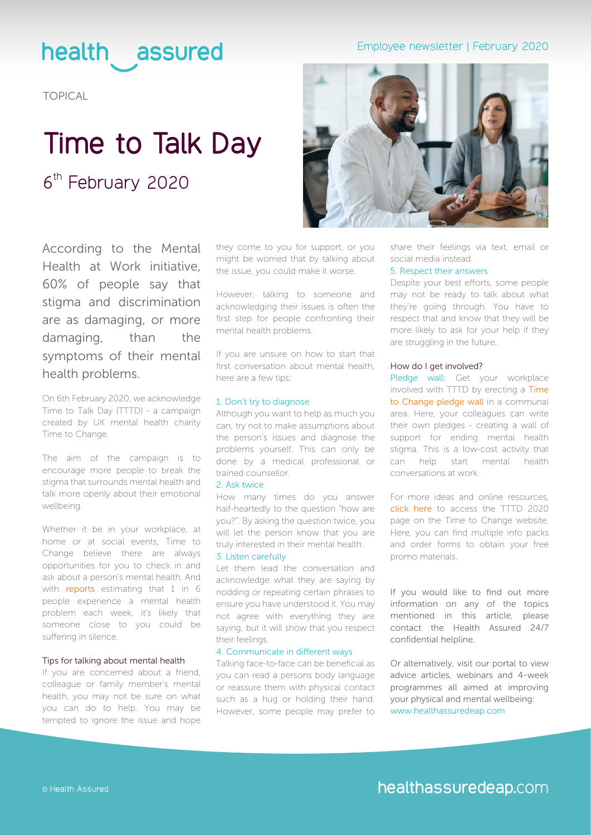## health assured

### Employee newsletter | February 2020

TOPICAL

## **Time to Talk Day**  6<sup>th</sup> February 2020



On 6th February 2020, we acknowledge Time to Talk Day (TTTD) - a campaign created by UK mental health charity Time to Change.

The aim of the campaign is to encourage more people to break the stigma that surrounds mental health and talk more openly about their emotional wellbeing.

Whether it be in your workplace, at home or at social events, Time to Change believe there are always opportunities for you to check in and ask about a person's mental health. And with [reports](https://www.mentalhealth.org.uk/publications/fundamental-facts-about-mental-health-2016) estimating that 1 in 6 people experience a mental health problem each week, it's likely that someone close to you could be suffering in silence.

#### Tips for talking about mental health

If you are concerned about a friend, colleague or family member's mental health, you may not be sure on what you can do to help. You may be tempted to ignore the issue and hope

they come to you for support, or you might be worried that by talking about the issue, you could make it worse.

However, talking to someone and acknowledging their issues is often the first step for people confronting their mental health problems.

If you are unsure on how to start that first conversation about mental health, here are a few tips:

#### 1. Don't try to diagnose

Although you want to help as much you can, try not to make assumptions about the person's issues and diagnose the problems yourself. This can only be done by a medical professional or trained counsellor.

#### 2. Ask twice

How many times do you answer half-heartedly to the question "how are you?". By asking the question twice, you will let the person know that you are truly interested in their mental health.

#### 3. Listen carefully

Let them lead the conversation and acknowledge what they are saying by nodding or repeating certain phrases to ensure you have understood it. You may not agree with everything they are saying, but it will show that you respect their feelings.

#### 4. Communicate in different ways

Talking face-to-face can be beneficial as you can read a persons body language or reassure them with physical contact such as a hug or holding their hand. However, some people may prefer to



share their feelings via text, email or social media instead.

#### 5. Respect their answers

Despite your best efforts, some people may not be ready to talk about what they're going through. You have to respect that and know that they will be more likely to ask for your help if they are struggling in the future.

#### How do I get involved?

Pledge wall: Get your workplace involved with TTTD by erecting a [Time](https://www.time-to-change.org.uk/champions/portal/activities/pledge-wall) [to Change pledge wall](https://www.time-to-change.org.uk/champions/portal/activities/pledge-wall) in a communal area. Here, your colleagues can write their own pledges - creating a wall of support for ending mental health stigma. This is a low-cost activity that can help start mental health conversations at work.

For more ideas and online resources, [click here](https://www.time-to-change.org.uk/time-talk-day/resources-your-event) to access the TTTD 2020 page on the Time to Change website. Here, you can find multiple info packs and order forms to obtain your free promo materials.

If you would like to find out more information on any of the topics mentioned in this article please contact the Health Assured 24/7 confidential helpline.

Or alternatively, visit our portal to view advice articles, webinars and 4-week programmes all aimed at improving your physical and mental wellbeing: [www.healthassuredeap.com](https://healthassuredeap.co.uk/)